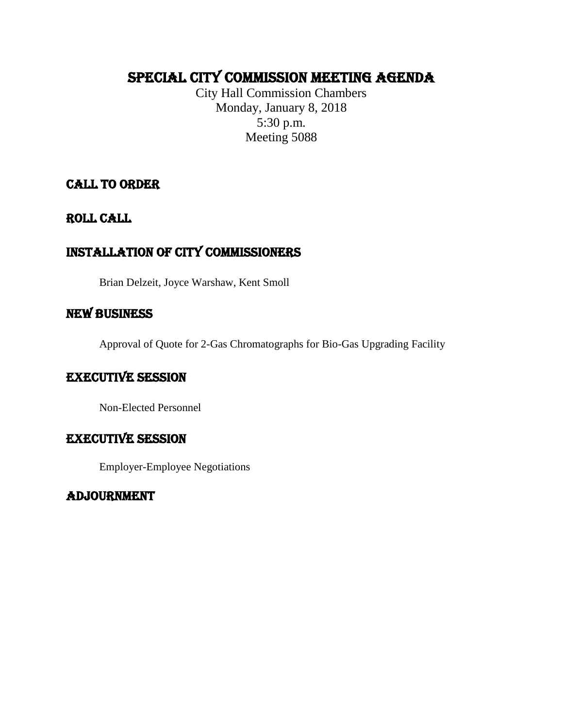# Special CITY COMMISSION MEETING AGENDA

City Hall Commission Chambers Monday, January 8, 2018 5:30 p.m. Meeting 5088

# CALL TO ORDER

ROLL CALL

# Installation of city commissioners

Brian Delzeit, Joyce Warshaw, Kent Smoll

# NEW BUSINESS

Approval of Quote for 2-Gas Chromatographs for Bio-Gas Upgrading Facility

# Executive session

Non-Elected Personnel

# EXECUTIVE SESSION

Employer-Employee Negotiations

# ADJOURNMENT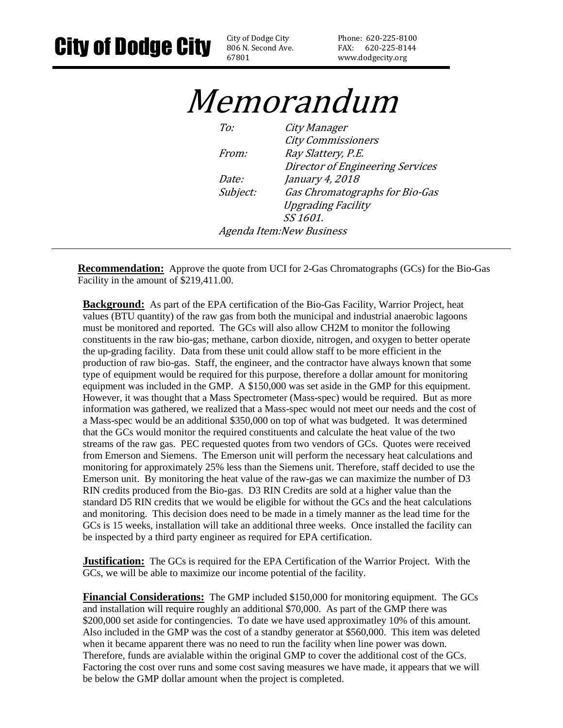806 N. Second Ave. 67801

Phone: 620-225-8100 FAX: 620-225-8144 www.dodgecity.org

# Memorandum

To: City Manager City Commissioners From: Ray Slattery, P.E. Director of Engineering Services Date: January 4, 2018 Subject: Gas Chromatographs for Bio-Gas Upgrading Facility SS 1601. Agenda Item:New Business

**Recommendation:** Approve the quote from UCI for 2-Gas Chromatographs (GCs) for the Bio-Gas Facility in the amount of \$219,411.00.

**Background:** As part of the EPA certification of the Bio-Gas Facility, Warrior Project, heat values (BTU quantity) of the raw gas from both the municipal and industrial anaerobic lagoons must be monitored and reported. The GCs will also allow CH2M to monitor the following constituents in the raw bio-gas; methane, carbon dioxide, nitrogen, and oxygen to better operate the up-grading facility. Data from these unit could allow staff to be more efficient in the production of raw bio-gas. Staff, the engineer, and the contractor have always known that some type of equipment would be required for this purpose, therefore a dollar amount for monitoring equipment was included in the GMP. A \$150,000 was set aside in the GMP for this equipment. However, it was thought that a Mass Spectrometer (Mass-spec) would be required. But as more information was gathered, we realized that a Mass-spec would not meet our needs and the cost of a Mass-spec would be an additional \$350,000 on top of what was budgeted. It was determined that the GCs would monitor the required constituents and calculate the heat value of the two streams of the raw gas. PEC requested quotes from two vendors of GCs. Quotes were received from Emerson and Siemens. The Emerson unit will perform the necessary heat calculations and monitoring for approximately 25% less than the Siemens unit. Therefore, staff decided to use the Emerson unit. By monitoring the heat value of the raw-gas we can maximize the number of D3 RIN credits produced from the Bio-gas. D3 RIN Credits are sold at a higher value than the standard D5 RIN credits that we would be eligible for without the GCs and the heat calculations and monitoring. This decision does need to be made in a timely manner as the lead time for the GCs is 15 weeks, installation will take an additional three weeks. Once installed the facility can be inspected by a third party engineer as required for EPA certification.

**Justification:** The GCs is required for the EPA Certification of the Warrior Project. With the GCs, we will be able to maximize our income potential of the facility.

**Financial Considerations:** The GMP included \$150,000 for monitoring equipment. The GCs and installation will require roughly an additional \$70,000. As part of the GMP there was \$200,000 set aside for contingencies. To date we have used approximatley 10% of this amount. Also included in the GMP was the cost of a standby generator at \$560,000. This item was deleted when it became apparent there was no need to run the facility when line power was down. Therefore, funds are avialable within the original GMP to cover the additional cost of the GCs. Factoring the cost over runs and some cost saving measures we have made, it appears that we will be below the GMP dollar amount when the project is completed.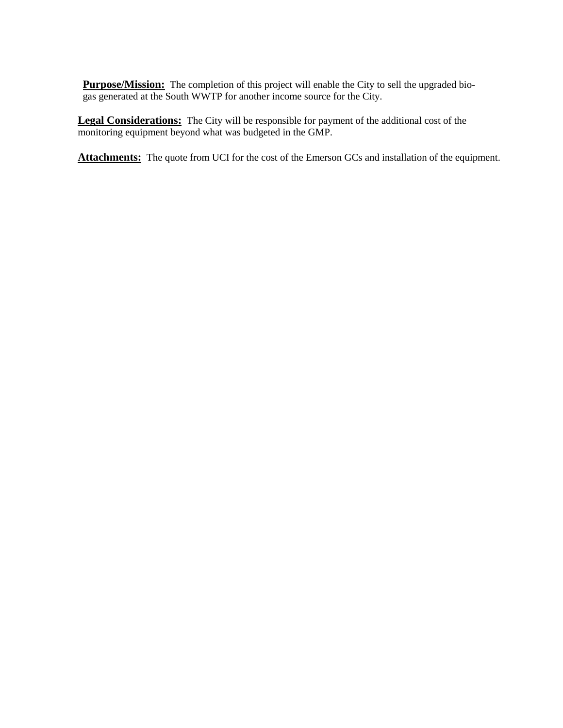**Purpose/Mission:** The completion of this project will enable the City to sell the upgraded biogas generated at the South WWTP for another income source for the City.

**Legal Considerations:** The City will be responsible for payment of the additional cost of the monitoring equipment beyond what was budgeted in the GMP.

**Attachments:** The quote from UCI for the cost of the Emerson GCs and installation of the equipment.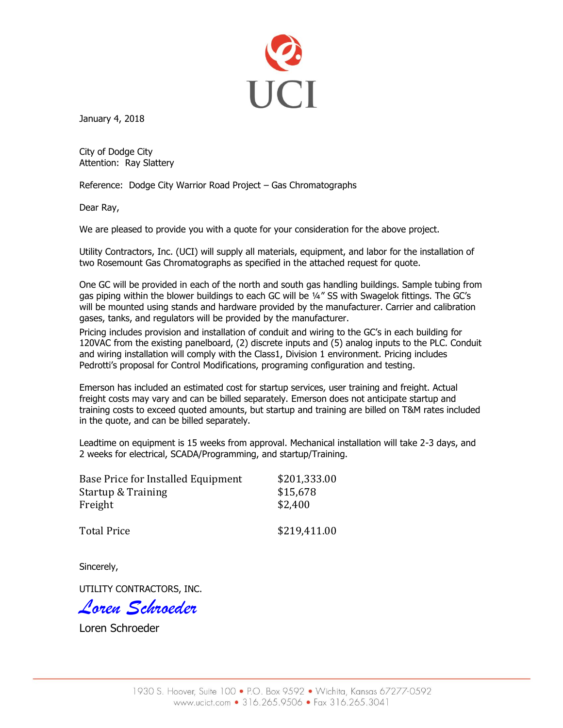

January 4, 2018

City of Dodge City Attention: Ray Slattery

Reference: Dodge City Warrior Road Project – Gas Chromatographs

Dear Ray,

We are pleased to provide you with a quote for your consideration for the above project.

Utility Contractors, Inc. (UCI) will supply all materials, equipment, and labor for the installation of two Rosemount Gas Chromatographs as specified in the attached request for quote.

One GC will be provided in each of the north and south gas handling buildings. Sample tubing from gas piping within the blower buildings to each GC will be 1/4" SS with Swagelok fittings. The GC's will be mounted using stands and hardware provided by the manufacturer. Carrier and calibration gases, tanks, and regulators will be provided by the manufacturer.

Pricing includes provision and installation of conduit and wiring to the GC's in each building for 120VAC from the existing panelboard, (2) discrete inputs and (5) analog inputs to the PLC. Conduit and wiring installation will comply with the Class1, Division 1 environment. Pricing includes Pedrotti's proposal for Control Modifications, programing configuration and testing.

Emerson has included an estimated cost for startup services, user training and freight. Actual freight costs may vary and can be billed separately. Emerson does not anticipate startup and training costs to exceed quoted amounts, but startup and training are billed on T&M rates included in the quote, and can be billed separately.

Leadtime on equipment is 15 weeks from approval. Mechanical installation will take 2-3 days, and 2 weeks for electrical, SCADA/Programming, and startup/Training.

| Base Price for Installed Equipment | \$201,333.00 |
|------------------------------------|--------------|
| <b>Startup &amp; Training</b>      | \$15,678     |
| Freight                            | \$2,400      |
| <b>Total Price</b>                 | \$219,411.00 |

Sincerely,

UTILITY CONTRACTORS, INC.

*Loren Schroeder*

Loren Schroeder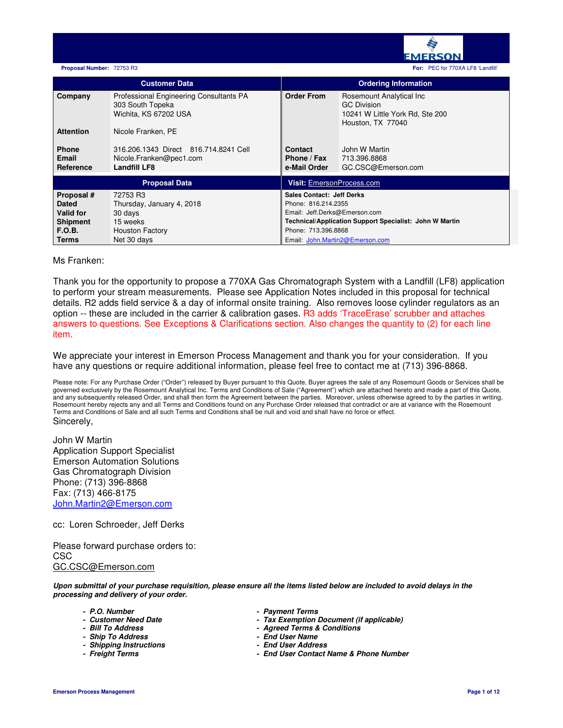

|                                                                                                    | <b>Customer Data</b>                                                                                  |                                                                                                                                                                                                                      | <b>Ordering Information</b>                                                                            |
|----------------------------------------------------------------------------------------------------|-------------------------------------------------------------------------------------------------------|----------------------------------------------------------------------------------------------------------------------------------------------------------------------------------------------------------------------|--------------------------------------------------------------------------------------------------------|
| Company                                                                                            | Professional Engineering Consultants PA<br>303 South Topeka<br>Wichita, KS 67202 USA                  | <b>Order From</b>                                                                                                                                                                                                    | Rosemount Analytical Inc<br><b>GC Division</b><br>10241 W Little York Rd, Ste 200<br>Houston, TX 77040 |
| <b>Attention</b>                                                                                   | Nicole Franken, PE                                                                                    |                                                                                                                                                                                                                      |                                                                                                        |
| <b>Phone</b><br>Email<br>Reference                                                                 | 316.206.1343 Direct 816.714.8241 Cell<br>Nicole.Franken@pec1.com<br><b>Landfill LF8</b>               | Contact<br>Phone / Fax<br>e-Mail Order                                                                                                                                                                               | John W Martin<br>713.396.8868<br>GC.CSC@Emerson.com                                                    |
|                                                                                                    | <b>Proposal Data</b>                                                                                  | Visit: EmersonProcess.com                                                                                                                                                                                            |                                                                                                        |
| Proposal #<br><b>Dated</b><br><b>Valid for</b><br><b>Shipment</b><br><b>F.O.B.</b><br><b>Terms</b> | 72753 R3<br>Thursday, January 4, 2018<br>30 days<br>15 weeks<br><b>Houston Factory</b><br>Net 30 days | <b>Sales Contact: Jeff Derks</b><br>Phone: 816.214.2355<br>Email: Jeff.Derks@Emerson.com<br><b>Technical/Application Support Specialist: John W Martin</b><br>Phone: 713.396.8868<br>Email: John.Martin2@Emerson.com |                                                                                                        |

# Ms Franken:

Thank you for the opportunity to propose a 770XA Gas Chromatograph System with a Landfill (LF8) application to perform your stream measurements. Please see Application Notes included in this proposal for technical details. R2 adds field service & a day of informal onsite training. Also removes loose cylinder regulators as an option -- these are included in the carrier & calibration gases. R3 adds 'TraceErase' scrubber and attaches answers to questions. See Exceptions & Clarifications section. Also changes the quantity to (2) for each line item.

We appreciate your interest in Emerson Process Management and thank you for your consideration. If you have any questions or require additional information, please feel free to contact me at (713) 396-8868.

Please note: For any Purchase Order ("Order") released by Buyer pursuant to this Quote, Buyer agrees the sale of any Rosemount Goods or Services shall be governed exclusively by the Rosemount Analytical Inc. Terms and Conditions of Sale ("Agreement") which are attached hereto and made a part of this Quote, and any subsequently released Order, and shall then form the Agreement between the parties. Moreover, unless otherwise agreed to by the parties in writing, Rosemount hereby rejects any and all Terms and Conditions found on any Purchase Order released that contradict or are at variance with the Rosemount Terms and Conditions of Sale and all such Terms and Conditions shall be null and void and shall have no force or effect. Sincerely,

John W Martin Application Support Specialist Emerson Automation Solutions Gas Chromatograph Division Phone: (713) 396-8868 Fax: (713) 466-8175 John.Martin2@Emerson.com

cc: Loren Schroeder, Jeff Derks

Please forward purchase orders to: CSC GC.CSC@Emerson.com

**Upon submittal of your purchase requisition, please ensure all the items listed below are included to avoid delays in the processing and delivery of your order.** 

- 
- 
- 
- **Ship To Address End User Name**
- **Shipping Instructions End User Address**
- 
- **P.O. Number Payment Terms**
- **Customer Need Date Tax Exemption Document (if applicable)**
	- **Agreed Terms & Conditions**<br> **End User Name**
	-
	-
	- **Freight Terms End User Contact Name & Phone Number**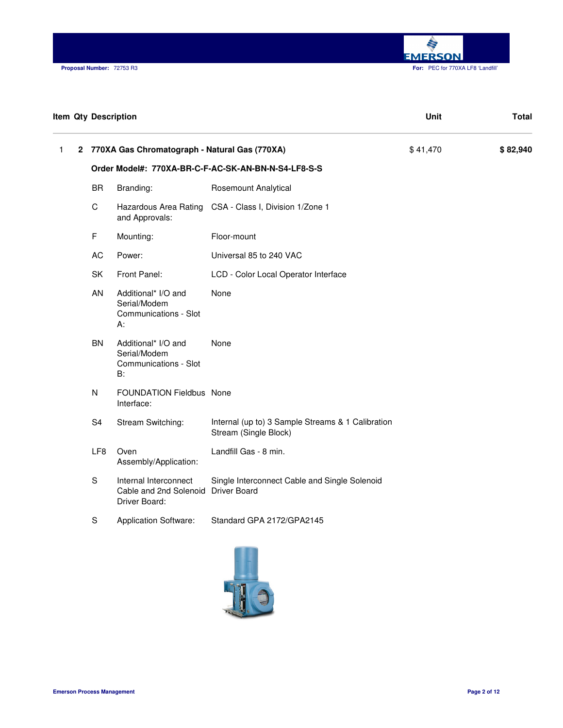

| <b>Item Qty Description</b> |                 |                                                                               |                                                                            | Unit     | <b>Total</b> |
|-----------------------------|-----------------|-------------------------------------------------------------------------------|----------------------------------------------------------------------------|----------|--------------|
| 1                           |                 | 2 770XA Gas Chromatograph - Natural Gas (770XA)                               |                                                                            | \$41,470 | \$82,940     |
|                             |                 |                                                                               | Order Model#: 770XA-BR-C-F-AC-SK-AN-BN-N-S4-LF8-S-S                        |          |              |
|                             | <b>BR</b>       | Branding:                                                                     | Rosemount Analytical                                                       |          |              |
|                             | $\mathsf C$     | Hazardous Area Rating<br>and Approvals:                                       | CSA - Class I, Division 1/Zone 1                                           |          |              |
|                             | F               | Mounting:                                                                     | Floor-mount                                                                |          |              |
|                             | AC              | Power:                                                                        | Universal 85 to 240 VAC                                                    |          |              |
|                             | SK              | Front Panel:                                                                  | LCD - Color Local Operator Interface                                       |          |              |
|                             | AN              | Additional* I/O and<br>Serial/Modem<br>Communications - Slot<br>А:            | None                                                                       |          |              |
|                             | BN              | Additional* I/O and<br>Serial/Modem<br>Communications - Slot<br>B:            | None                                                                       |          |              |
|                             | ${\sf N}$       | FOUNDATION Fieldbus None<br>Interface:                                        |                                                                            |          |              |
|                             | S <sub>4</sub>  | Stream Switching:                                                             | Internal (up to) 3 Sample Streams & 1 Calibration<br>Stream (Single Block) |          |              |
|                             | LF <sub>8</sub> | Oven<br>Assembly/Application:                                                 | Landfill Gas - 8 min.                                                      |          |              |
|                             | ${\mathsf S}$   | Internal Interconnect<br>Cable and 2nd Solenoid Driver Board<br>Driver Board: | Single Interconnect Cable and Single Solenoid                              |          |              |
|                             | $\mathbf S$     | <b>Application Software:</b>                                                  | Standard GPA 2172/GPA2145                                                  |          |              |

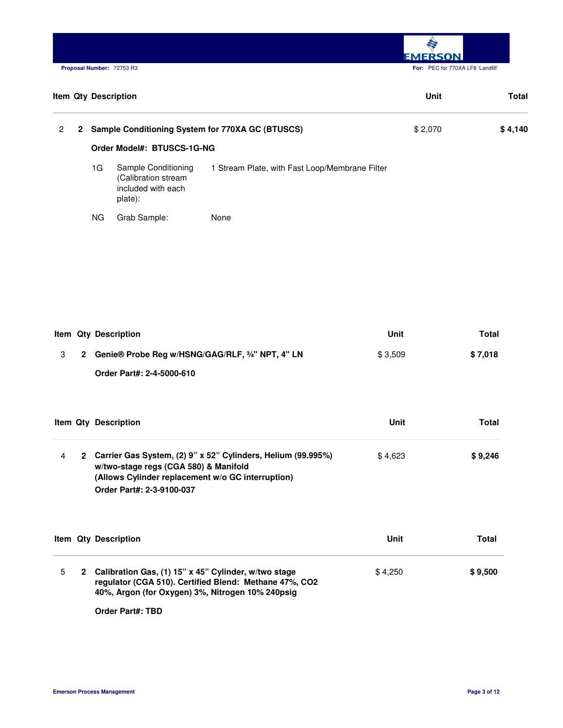**M EMERSON. Proposal Number:** 72753 R3 **For:** PEC for 770XA LF8 'Landfill'

|                |                |           | <b>Item Qty Description</b>                                                 |                                                  | Unit    | Total   |
|----------------|----------------|-----------|-----------------------------------------------------------------------------|--------------------------------------------------|---------|---------|
| $\overline{2}$ | $\overline{2}$ |           |                                                                             | Sample Conditioning System for 770XA GC (BTUSCS) | \$2,070 | \$4,140 |
|                |                |           | Order Model#: BTUSCS-1G-NG                                                  |                                                  |         |         |
|                |                | 1G        | Sample Conditioning<br>(Calibration stream<br>included with each<br>plate): | 1 Stream Plate, with Fast Loop/Membrane Filter   |         |         |
|                |                | <b>NG</b> | Grab Sample:                                                                | None                                             |         |         |

|  | Item Qty Description                               | Unit    | Total   |
|--|----------------------------------------------------|---------|---------|
|  | 2 Genie® Probe Reg w/HSNG/GAG/RLF, 3/4" NPT, 4" LN | \$3.509 | \$7.018 |
|  | Order Part#: 2-4-5000-610                          |         |         |

|   | <b>Item Qty Description</b>                                                                                                                                                               | Unit    | Total   |
|---|-------------------------------------------------------------------------------------------------------------------------------------------------------------------------------------------|---------|---------|
| 4 | 2 Carrier Gas System, (2) 9" x 52" Cylinders, Helium (99.995%)<br>w/two-stage regs (CGA 580) & Manifold<br>(Allows Cylinder replacement w/o GC interruption)<br>Order Part#: 2-3-9100-037 | \$4.623 | \$9,246 |

|   | <b>Item Qty Description</b>                                                                                                                                          | Unit    | Total   |
|---|----------------------------------------------------------------------------------------------------------------------------------------------------------------------|---------|---------|
| 5 | 2 Calibration Gas, (1) 15" x 45" Cylinder, w/two stage<br>regulator (CGA 510). Certified Blend: Methane 47%, CO2<br>40%, Argon (for Oxygen) 3%, Nitrogen 10% 240psig | \$4.250 | \$9.500 |

**Order Part#: TBD**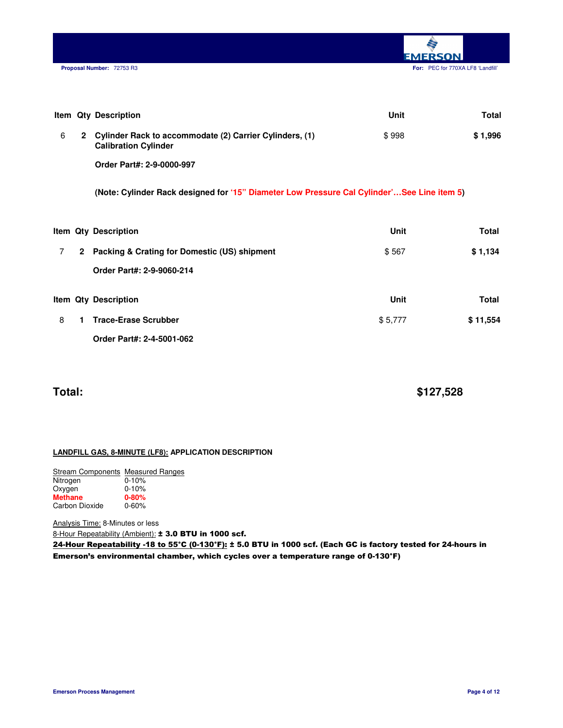

|   |              | <b>Item Qty Description</b>                                                                | Unit  | Total   |
|---|--------------|--------------------------------------------------------------------------------------------|-------|---------|
| 6 | $\mathbf{2}$ | Cylinder Rack to accommodate (2) Carrier Cylinders, (1)<br><b>Calibration Cylinder</b>     | \$998 | \$1,996 |
|   |              | Order Part#: 2-9-0000-997                                                                  |       |         |
|   |              | (Note: Cylinder Rack designed for '15" Diameter Low Pressure Cal Cylinder'See Line item 5) |       |         |
|   |              |                                                                                            |       |         |

|   |              | Item Qty Description                         | Unit    | Total    |
|---|--------------|----------------------------------------------|---------|----------|
|   | $\mathbf{2}$ | Packing & Crating for Domestic (US) shipment | \$567   | \$1,134  |
|   |              | Order Part#: 2-9-9060-214                    |         |          |
|   |              | <b>Item Qty Description</b>                  | Unit    | Total    |
| 8 |              | <b>Trace-Erase Scrubber</b>                  | \$5,777 | \$11,554 |
|   |              | Order Part#: 2-4-5001-062                    |         |          |

**Total: \$127,528** 

# **LANDFILL GAS, 8-MINUTE (LF8): APPLICATION DESCRIPTION**

| Stream Components Measured Ranges |           |
|-----------------------------------|-----------|
| Nitrogen                          | $0 - 10%$ |
| Oxygen                            | $0 - 10%$ |
| <b>Methane</b>                    | $0 - 80%$ |
| Carbon Dioxide                    | $0 - 60%$ |

Analysis Time: 8-Minutes or less 8-Hour Repeatability (Ambient): ± 3.0 BTU in 1000 scf.

24-Hour Repeatability -18 to 55°C (0-130°F): ± 5.0 BTU in 1000 scf. (Each GC is factory tested for 24-hours in Emerson's environmental chamber, which cycles over a temperature range of 0-130°F)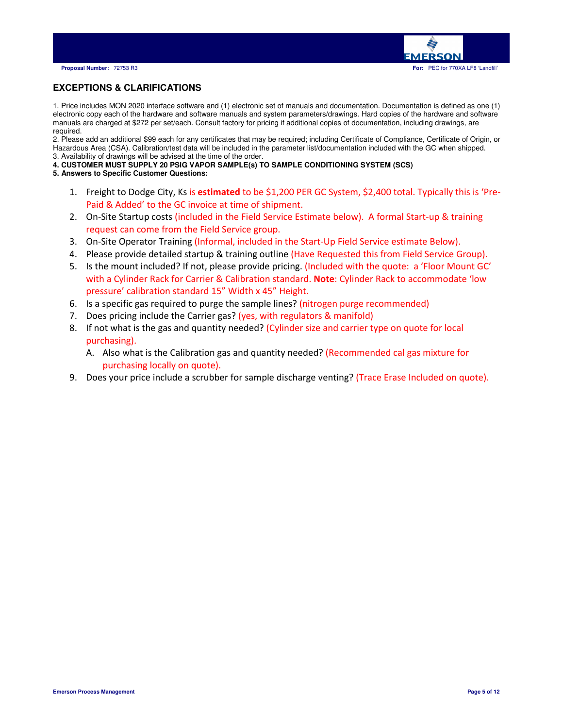

# **EXCEPTIONS & CLARIFICATIONS**

1. Price includes MON 2020 interface software and (1) electronic set of manuals and documentation. Documentation is defined as one (1) electronic copy each of the hardware and software manuals and system parameters/drawings. Hard copies of the hardware and software manuals are charged at \$272 per set/each. Consult factory for pricing if additional copies of documentation, including drawings, are required.

2. Please add an additional \$99 each for any certificates that may be required; including Certificate of Compliance, Certificate of Origin, or Hazardous Area (CSA). Calibration/test data will be included in the parameter list/documentation included with the GC when shipped. 3. Availability of drawings will be advised at the time of the order.

- **4. CUSTOMER MUST SUPPLY 20 PSIG VAPOR SAMPLE(s) TO SAMPLE CONDITIONING SYSTEM (SCS)**
- **5. Answers to Specific Customer Questions:** 
	- 1. Freight to Dodge City, Ks is estimated to be \$1,200 PER GC System, \$2,400 total. Typically this is 'Pre-Paid & Added' to the GC invoice at time of shipment.
	- 2. On-Site Startup costs (included in the Field Service Estimate below). A formal Start-up & training request can come from the Field Service group.
	- 3. On-Site Operator Training (Informal, included in the Start-Up Field Service estimate Below).
	- 4. Please provide detailed startup & training outline (Have Requested this from Field Service Group).
	- 5. Is the mount included? If not, please provide pricing. (Included with the quote: a 'Floor Mount GC' with a Cylinder Rack for Carrier & Calibration standard. Note: Cylinder Rack to accommodate 'low pressure' calibration standard 15" Width x 45" Height.
	- 6. Is a specific gas required to purge the sample lines? (nitrogen purge recommended)
	- 7. Does pricing include the Carrier gas? (yes, with regulators & manifold)
	- 8. If not what is the gas and quantity needed? (Cylinder size and carrier type on quote for local purchasing).
		- A. Also what is the Calibration gas and quantity needed? (Recommended cal gas mixture for purchasing locally on quote).
	- 9. Does your price include a scrubber for sample discharge venting? (Trace Erase Included on quote).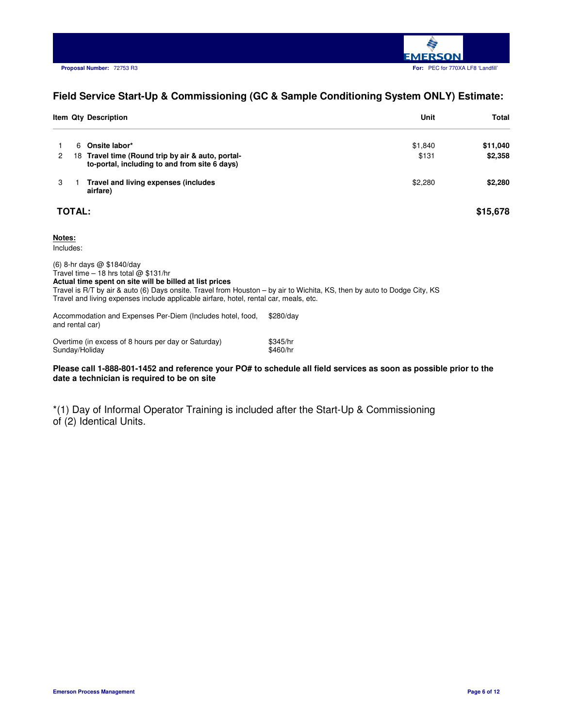

# **Field Service Start-Up & Commissioning (GC & Sample Conditioning System ONLY) Estimate:**

|                      |               | Item Qty Description                                                                               | Unit    | Total    |
|----------------------|---------------|----------------------------------------------------------------------------------------------------|---------|----------|
|                      | 6             | Onsite labor*                                                                                      | \$1,840 | \$11,040 |
| $\mathbf{2}^{\circ}$ |               | 18 Travel time (Round trip by air & auto, portal-<br>to-portal, including to and from site 6 days) | \$131   | \$2,358  |
| 3                    |               | Travel and living expenses (includes<br>airfare)                                                   | \$2,280 | \$2,280  |
|                      | <b>TOTAL:</b> |                                                                                                    |         | \$15,678 |

### **Notes:**

Includes:

and rental car)

(6) 8-hr days @ \$1840/day Travel time – 18 hrs total  $@$  \$131/hr **Actual time spent on site will be billed at list prices** Travel is R/T by air & auto (6) Days onsite. Travel from Houston – by air to Wichita, KS, then by auto to Dodge City, KS Travel and living expenses include applicable airfare, hotel, rental car, meals, etc. Accommodation and Expenses Per-Diem (Includes hotel, food, \$280/day

| Overtime (in excess of 8 hours per day or Saturday) | \$345/hr |
|-----------------------------------------------------|----------|
| Sunday/Holiday                                      | \$460/hr |

### **Please call 1-888-801-1452 and reference your PO# to schedule all field services as soon as possible prior to the date a technician is required to be on site**

\*(1) Day of Informal Operator Training is included after the Start-Up & Commissioning of (2) Identical Units.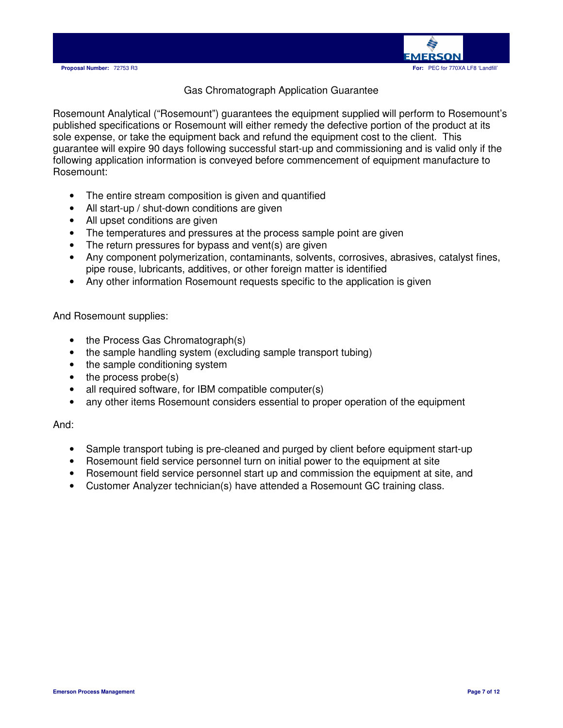

# Gas Chromatograph Application Guarantee

Rosemount Analytical ("Rosemount") guarantees the equipment supplied will perform to Rosemount's published specifications or Rosemount will either remedy the defective portion of the product at its sole expense, or take the equipment back and refund the equipment cost to the client. This guarantee will expire 90 days following successful start-up and commissioning and is valid only if the following application information is conveyed before commencement of equipment manufacture to Rosemount:

- The entire stream composition is given and quantified
- All start-up / shut-down conditions are given
- All upset conditions are given
- The temperatures and pressures at the process sample point are given
- The return pressures for bypass and vent(s) are given
- Any component polymerization, contaminants, solvents, corrosives, abrasives, catalyst fines, pipe rouse, lubricants, additives, or other foreign matter is identified
- Any other information Rosemount requests specific to the application is given

And Rosemount supplies:

- the Process Gas Chromatograph(s)
- the sample handling system (excluding sample transport tubing)
- the sample conditioning system
- the process probe(s)
- all required software, for IBM compatible computer(s)
- any other items Rosemount considers essential to proper operation of the equipment

And:

- Sample transport tubing is pre-cleaned and purged by client before equipment start-up
- Rosemount field service personnel turn on initial power to the equipment at site
- Rosemount field service personnel start up and commission the equipment at site, and
- Customer Analyzer technician(s) have attended a Rosemount GC training class.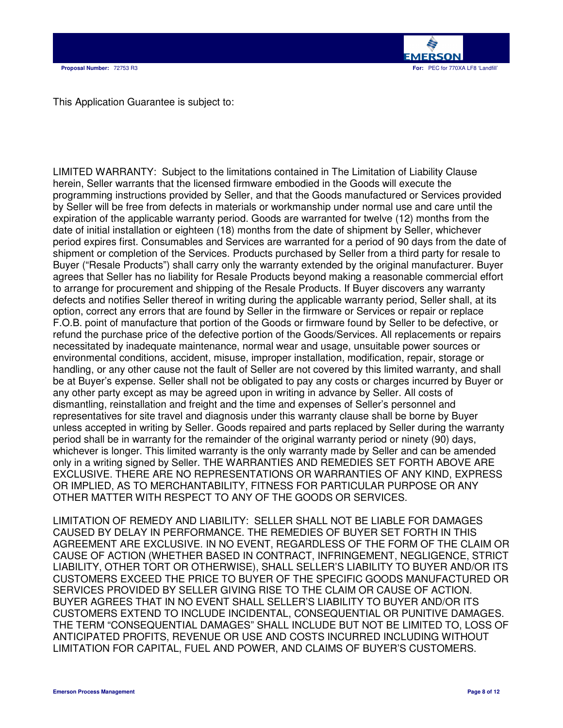

This Application Guarantee is subject to:

LIMITED WARRANTY: Subject to the limitations contained in The Limitation of Liability Clause herein, Seller warrants that the licensed firmware embodied in the Goods will execute the programming instructions provided by Seller, and that the Goods manufactured or Services provided by Seller will be free from defects in materials or workmanship under normal use and care until the expiration of the applicable warranty period. Goods are warranted for twelve (12) months from the date of initial installation or eighteen (18) months from the date of shipment by Seller, whichever period expires first. Consumables and Services are warranted for a period of 90 days from the date of shipment or completion of the Services. Products purchased by Seller from a third party for resale to Buyer ("Resale Products") shall carry only the warranty extended by the original manufacturer. Buyer agrees that Seller has no liability for Resale Products beyond making a reasonable commercial effort to arrange for procurement and shipping of the Resale Products. If Buyer discovers any warranty defects and notifies Seller thereof in writing during the applicable warranty period, Seller shall, at its option, correct any errors that are found by Seller in the firmware or Services or repair or replace F.O.B. point of manufacture that portion of the Goods or firmware found by Seller to be defective, or refund the purchase price of the defective portion of the Goods/Services. All replacements or repairs necessitated by inadequate maintenance, normal wear and usage, unsuitable power sources or environmental conditions, accident, misuse, improper installation, modification, repair, storage or handling, or any other cause not the fault of Seller are not covered by this limited warranty, and shall be at Buyer's expense. Seller shall not be obligated to pay any costs or charges incurred by Buyer or any other party except as may be agreed upon in writing in advance by Seller. All costs of dismantling, reinstallation and freight and the time and expenses of Seller's personnel and representatives for site travel and diagnosis under this warranty clause shall be borne by Buyer unless accepted in writing by Seller. Goods repaired and parts replaced by Seller during the warranty period shall be in warranty for the remainder of the original warranty period or ninety (90) days, whichever is longer. This limited warranty is the only warranty made by Seller and can be amended only in a writing signed by Seller. THE WARRANTIES AND REMEDIES SET FORTH ABOVE ARE EXCLUSIVE. THERE ARE NO REPRESENTATIONS OR WARRANTIES OF ANY KIND, EXPRESS OR IMPLIED, AS TO MERCHANTABILITY, FITNESS FOR PARTICULAR PURPOSE OR ANY OTHER MATTER WITH RESPECT TO ANY OF THE GOODS OR SERVICES.

LIMITATION OF REMEDY AND LIABILITY: SELLER SHALL NOT BE LIABLE FOR DAMAGES CAUSED BY DELAY IN PERFORMANCE. THE REMEDIES OF BUYER SET FORTH IN THIS AGREEMENT ARE EXCLUSIVE. IN NO EVENT, REGARDLESS OF THE FORM OF THE CLAIM OR CAUSE OF ACTION (WHETHER BASED IN CONTRACT, INFRINGEMENT, NEGLIGENCE, STRICT LIABILITY, OTHER TORT OR OTHERWISE), SHALL SELLER'S LIABILITY TO BUYER AND/OR ITS CUSTOMERS EXCEED THE PRICE TO BUYER OF THE SPECIFIC GOODS MANUFACTURED OR SERVICES PROVIDED BY SELLER GIVING RISE TO THE CLAIM OR CAUSE OF ACTION. BUYER AGREES THAT IN NO EVENT SHALL SELLER'S LIABILITY TO BUYER AND/OR ITS CUSTOMERS EXTEND TO INCLUDE INCIDENTAL, CONSEQUENTIAL OR PUNITIVE DAMAGES. THE TERM "CONSEQUENTIAL DAMAGES" SHALL INCLUDE BUT NOT BE LIMITED TO, LOSS OF ANTICIPATED PROFITS, REVENUE OR USE AND COSTS INCURRED INCLUDING WITHOUT LIMITATION FOR CAPITAL, FUEL AND POWER, AND CLAIMS OF BUYER'S CUSTOMERS.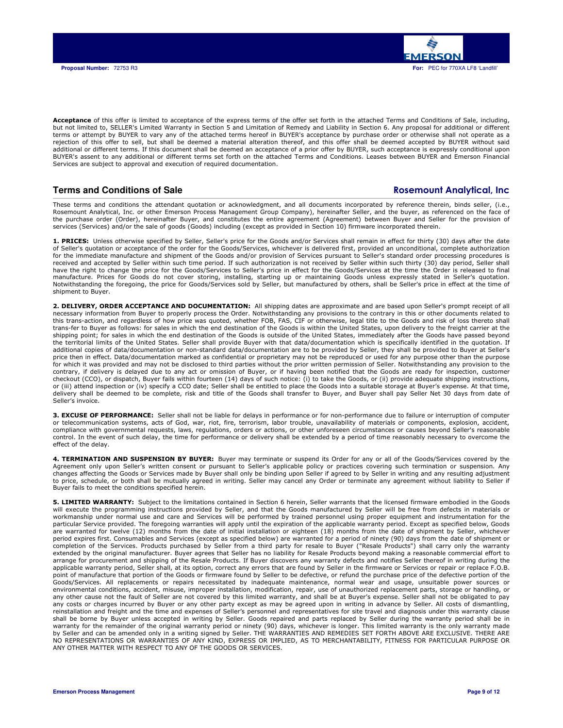

Acceptance of this offer is limited to acceptance of the express terms of the offer set forth in the attached Terms and Conditions of Sale, including, but not limited to, SELLER's Limited Warranty in Section 5 and Limitation of Remedy and Liability in Section 6. Any proposal for additional or different terms or attempt by BUYER to vary any of the attached terms hereof in BUYER's acceptance by purchase order or otherwise shall not operate as a rejection of this offer to sell, but shall be deemed a material alteration thereof, and this offer shall be deemed accepted by BUYER without said additional or different terms. If this document shall be deemed an acceptance of a prior offer by BUYER, such acceptance is expressly conditional upon BUYER's assent to any additional or different terms set forth on the attached Terms and Conditions. Leases between BUYER and Emerson Financial Services are subject to approval and execution of required documentation.

# **Terms and Conditions of Sale** Rosemount Analytical, Inc. **Rosemount Analytical, Inc.**

These terms and conditions the attendant quotation or acknowledgment, and all documents incorporated by reference therein, binds seller, (i.e., Rosemount Analytical, Inc. or other Emerson Process Management Group Company), hereinafter Seller, and the buyer, as referenced on the face of the purchase order (Order), hereinafter Buyer, and constitutes the entire agreement (Agreement) between Buyer and Seller for the provision of services (Services) and/or the sale of goods (Goods) including (except as provided in Section 10) firmware incorporated therein.

1. PRICES: Unless otherwise specified by Seller, Seller's price for the Goods and/or Services shall remain in effect for thirty (30) days after the date of Seller's quotation or acceptance of the order for the Goods/Services, whichever is delivered first, provided an unconditional, complete authorization for the immediate manufacture and shipment of the Goods and/or provision of Services pursuant to Seller's standard order processing procedures is received and accepted by Seller within such time period. If such authorization is not received by Seller within such thirty (30) day period, Seller shall have the right to change the price for the Goods/Services to Seller's price in effect for the Goods/Services at the time the Order is released to final manufacture. Prices for Goods do not cover storing, installing, starting up or maintaining Goods unless expressly stated in Seller's quotation.<br>Notwithstanding the foregoing, the price for Goods/Services sold by Seller, bu shipment to Buyer.

**2. DELIVERY, ORDER ACCEPTANCE AND DOCUMENTATION:** All shipping dates are approximate and are based upon Seller's prompt receipt of all<br>necessary information from Buyer to properly process the Order. Notwithstanding any pr this trans-action, and regardless of how price was quoted, whether FOB, FAS, CIF or otherwise, legal title to the Goods and risk of loss thereto shall trans-fer to Buyer as follows: for sales in which the end destination of the Goods is within the United States, upon delivery to the freight carrier at the shipping point; for sales in which the end destination of the Goods is outside of the United States, immediately after the Goods have passed beyond the territorial limits of the United States. Seller shall provide Buyer with that data/documentation which is specifically identified in the quotation. If additional copies of data/documentation or non-standard data/documentation are to be provided by Seller, they shall be provided to Buyer at Seller's price then in effect. Data/documentation marked as confidential or proprietary may not be reproduced or used for any purpose other than the purpose for which it was provided and may not be disclosed to third parties without the prior written permission of Seller. Notwithstanding any provision to the contrary, if delivery is delayed due to any act or omission of Buyer, or if having been notified that the Goods are ready for inspection, customer checkout (CCO), or dispatch, Buyer fails within fourteen (14) days of such notice: (i) to take the Goods, or (ii) provide adequate shipping instructions, or (iii) attend inspection or (iv) specify a CCO date; Seller shall be entitled to place the Goods into a suitable storage at Buyer's expense. At that time, delivery shall be deemed to be complete, risk and title of the Goods shall transfer to Buyer, and Buyer shall pay Seller Net 30 days from date of Seller's invoice.

**3. EXCUSE OF PERFORMANCE:** Seller shall not be liable for delays in performance or for non-performance due to failure or interruption of computer<br>or telecommunication systems, acts of God, war, riot, fire, terrorism, labo compliance with governmental requests, laws, regulations, orders or actions, or other unforeseen circumstances or causes beyond Seller's reasonable control. In the event of such delay, the time for performance or delivery shall be extended by a period of time reasonably necessary to overcome the effect of the delay.

4. TERMINATION AND SUSPENSION BY BUYER: Buyer may terminate or suspend its Order for any or all of the Goods/Services covered by the Agreement only upon Seller's written consent or pursuant to Seller's applicable policy or practices covering such termination or suspension. Any changes affecting the Goods or Services made by Buyer shall only be binding upon Seller if agreed to by Seller in writing and any resulting adjustment to price, schedule, or both shall be mutually agreed in writing. Seller may cancel any Order or terminate any agreement without liability to Seller if Buyer fails to meet the conditions specified herein.

5. LIMITED WARRANTY: Subject to the limitations contained in Section 6 herein, Seller warrants that the licensed firmware embodied in the Goods will execute the programming instructions provided by Seller, and that the Goods manufactured by Seller will be free from defects in materials or workmanship under normal use and care and Services will be performed by trained personnel using proper equipment and instrumentation for the particular Service provided. The foregoing warranties will apply until the expiration of the applicable warranty period. Except as specified below, Goods are warranted for twelve (12) months from the date of initial installation or eighteen (18) months from the date of shipment by Seller, whichever period expires first. Consumables and Services (except as specified below) are warranted for a period of ninety (90) days from the date of shipment or completion of the Services. Products purchased by Seller from a third party for resale to Buyer ("Resale Products") shall carry only the warranty extended by the original manufacturer. Buyer agrees that Seller has no liability for Resale Products beyond making a reasonable commercial effort to arrange for procurement and shipping of the Resale Products. If Buyer discovers any warranty defects and notifies Seller thereof in writing during the applicable warranty period, Seller shall, at its option, correct any errors that are found by Seller in the firmware or Services or repair or replace F.O.B. point of manufacture that portion of the Goods or firmware found by Seller to be defective, or refund the purchase price of the defective portion of the Goods/Services. All replacements or repairs necessitated by inadequate maintenance, normal wear and usage, unsuitable power sources or environmental conditions, accident, misuse, improper installation, modification, repair, use of unauthorized replacement parts, storage or handling, or any other cause not the fault of Seller are not covered by this limited warranty, and shall be at Buyer's expense. Seller shall not be obligated to pay any costs or charges incurred by Buyer or any other party except as may be agreed upon in writing in advance by Seller. All costs of dismantling, reinstallation and freight and the time and expenses of Seller's personnel and representatives for site travel and diagnosis under this warranty clause shall be borne by Buyer unless accepted in writing by Seller. Goods repaired and parts replaced by Seller during the warranty period shall be in warranty for the remainder of the original warranty period or ninety (90) days, whichever is longer. This limited warranty is the only warranty made by Seller and can be amended only in a writing signed by Seller. THE WARRANTIES AND REMEDIES SET FORTH ABOVE ARE EXCLUSIVE. THERE ARE NO REPRESENTATIONS OR WARRANTIES OF ANY KIND, EXPRESS OR IMPLIED, AS TO MERCHANTABILITY, FITNESS FOR PARTICULAR PURPOSE OR ANY OTHER MATTER WITH RESPECT TO ANY OF THE GOODS OR SERVICES.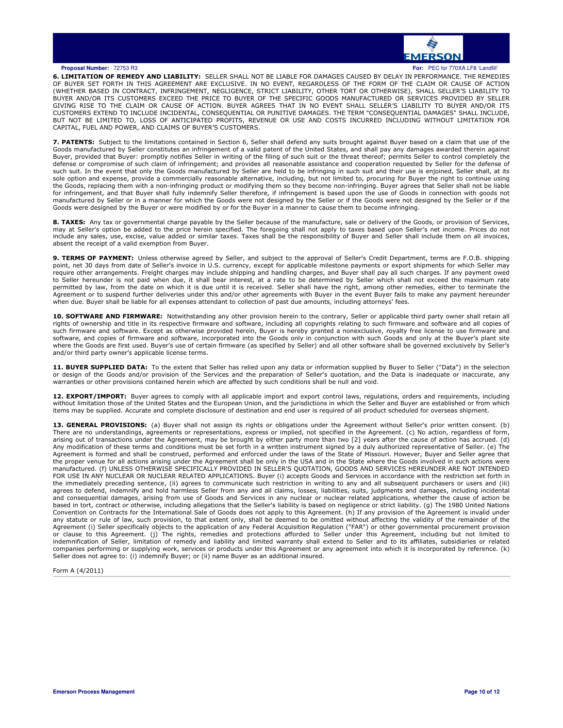

6. LIMITATION OF REMEDY AND LIABILITY: SELLER SHALL NOT BE LIABLE FOR DAMAGES CAUSED BY DELAY IN PERFORMANCE. THE REMEDIES OF BUYER SET FORTH IN THIS AGREEMENT ARE EXCLUSIVE. IN NO EVENT, REGARDLESS OF THE FORM OF THE CLAIM OR CAUSE OF ACTION<br>(WHETHER BASED IN CONTRACT, INFRINGEMENT, NEGLIGENCE, STRICT LIABILITY, OTHER TORT OR OTHERWISE), SHAL BUT NOT BE LIMITED TO, LOSS OF ANTICIPATED PROFITS, REVENUE OR USE AND COSTS INCURRED INCLUDING WITHOUT LIMITATION FOR CAPITAL, FUEL AND POWER, AND CLAIMS OF BUYER'S CUSTOMERS.

7. PATENTS: Subject to the limitations contained in Section 6, Seller shall defend any suits brought against Buyer based on a claim that use of the Goods manufactured by Seller constitutes an infringement of a valid patent of the United States, and shall pay any damages awarded therein against Buyer, provided that Buyer: promptly notifies Seller in writing of the filing of such suit or the threat thereof; permits Seller to control completely the defense or compromise of such claim of infringement; and provides all reasonable assistance and cooperation requested by Seller for the defense of such suit. In the event that only the Goods manufactured by Seller are held to be infringing in such suit and their use is enjoined, Seller shall, at its sole option and expense, provide a commercially reasonable alternative, including, but not limited to, procuring for Buyer the right to continue using the Goods, replacing them with a non-infringing product or modifying them so they become non-infringing. Buyer agrees that Seller shall not be liable for infringement, and that Buyer shall fully indemnify Seller therefore, if infringement is based upon the use of Goods in connection with goods not manufactured by Seller or in a manner for which the Goods were not designed by the Seller or if the Goods were not designed by the Seller or if the Goods were designed by the Buyer or were modified by or for the Buyer in a manner to cause them to become infringing.

8. TAXES: Any tax or governmental charge payable by the Seller because of the manufacture, sale or delivery of the Goods, or provision of Services, may at Seller's option be added to the price herein specified. The foregoing shall not apply to taxes based upon Seller's net income. Prices do not<br>include any sales, use, excise, value added or similar taxes. Taxes shall absent the receipt of a valid exemption from Buyer.

**9. TERMS OF PAYMENT:** Unless otherwise agreed by Seller, and subject to the approval of Seller's Credit Department, terms are F.O.B. shipping<br>point, net 30 days from date of Seller's invoice in U.S. currency, except for a require other arrangements. Freight charges may include shipping and handling charges, and Buyer shall pay all such charges. If any payment owed<br>to Seller hereunder is not paid when due, it shall bear interest, at a rate t permitted by law, from the date on which it is due until it is received. Seller shall have the right, among other remedies, either to terminate the Agreement or to suspend further deliveries under this and/or other agreements with Buyer in the event Buyer fails to make any payment hereunder when due. Buyer shall be liable for all expenses attendant to collection of past due amounts, including attorneys' fees.

10. SOFTWARE AND FIRMWARE: Notwithstanding any other provision herein to the contrary, Seller or applicable third party owner shall retain all rights of ownership and title in its respective firmware and software, including all copyrights relating to such firmware and software and all copies of such firmware and software. Except as otherwise provided herein, Buyer is hereby granted a nonexclusive, royalty free license to use firmware and<br>software, and copies of firmware and software, incorporated into the Goods o and/or third party owner's applicable license terms.

11. BUYER SUPPLIED DATA: To the extent that Seller has relied upon any data or information supplied by Buyer to Seller ("Data") in the selection or design of the Goods and/or provision of the Services and the preparation of Seller's quotation, and the Data is inadequate or inaccurate, any warranties or other provisions contained herein which are affected by such conditions shall be null and void.

**12. EXPORT/IMPORT:** Buyer agrees to comply with all applicable import and export control laws, regulations, orders and requirements, including<br>without limitation those of the United States and the European Union, and the items may be supplied. Accurate and complete disclosure of destination and end user is required of all product scheduled for overseas shipment.

13. GENERAL PROVISIONS: (a) Buyer shall not assign its rights or obligations under the Agreement without Seller's prior written consent. (b) There are no understandings, agreements or representations, express or implied, not specified in the Agreement. (c) No action, regardless of form,<br>arising out of transactions under the Agreement, may be brought by either p Any modification of these terms and conditions must be set forth in a written instrument signed by a duly authorized representative of Seller. (e) The Agreement is formed and shall be construed, performed and enforced under the laws of the State of Missouri. However, Buyer and Seller agree that the proper venue for all actions arising under the Agreement shall be only in the USA and in the State where the Goods involved in such actions were manufactured. (f) UNLESS OTHERWISE SPECIFICALLY PROVIDED IN SELLER'S QUOTATION, GOODS AND SERVICES HEREUNDER ARE NOT INTENDED FOR USE IN ANY NUCLEAR OR NUCLEAR RELATED APPLICATIONS. Buyer (i) accepts Goods and Services in accordance with the restriction set forth in the immediately preceding sentence, (ii) agrees to communicate such restriction in writing to any and all subsequent purchasers or users and (iii) agrees to defend, indemnify and hold harmless Seller from any and all claims, losses, liabilities, suits, judgments and damages, including incidental and consequential damages, arising from use of Goods and Services in any nuclear or nuclear related applications, whether the cause of action be based in tort, contract or otherwise, including allegations that the Seller's liability is based on negligence or strict liability. (g) The 1980 United Nations Convention on Contracts for the International Sale of Goods does not apply to this Agreement. (h) If any provision of the Agreement is invalid under<br>any statute or rule of law, such provision, to that extent only, shall be Agreement (i) Seller specifically objects to the application of any Federal Acquisition Regulation ("FAR") or other governmental procurement provision<br>or clause to this Agreement. (j) The rights, remedies and protections a indemnification of Seller, limitation of remedy and liability and limited warranty shall extend to Seller and to its affiliates, subsidiaries or related companies performing or supplying work, services or products under this Agreement or any agreement into which it is incorporated by reference. (k) Seller does not agree to: (i) indemnify Buyer; or (ii) name Buyer as an additional insured.

Form A (4/2011)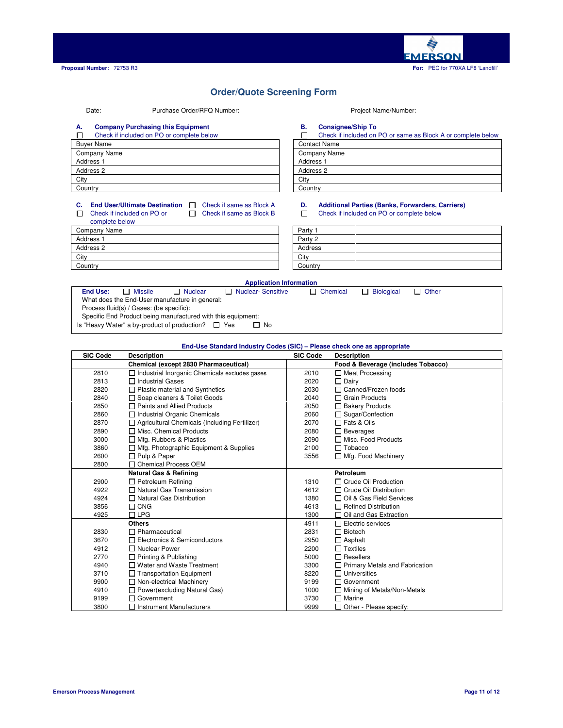

### **Order/Quote Screening Form**

### Date: Purchase Order/RFQ Number: Project Name/Number:

### **A. Company Purchasing this Equipment B. Consignee/Ship To**

### Check if included on PO or complete below Check if included on PO or same as Block A П

| <b>Buver Name</b>    | <b>Contact Name</b>  |
|----------------------|----------------------|
| Company Name         | Company Name         |
| Address <sub>1</sub> | Address <sub>1</sub> |
| Address 2            | Address 2            |
| City                 | City                 |
| Country              | Country              |

| Crieck if included on PO or same as Block A or complete below |
|---------------------------------------------------------------|
| <b>Contact Name</b>                                           |
| Company Name                                                  |
| Address <sub>1</sub>                                          |
| Address 2                                                     |
| Citv                                                          |
| Country                                                       |

### **C. End User/Ultimate Destination**  $\Box$  Check if same as Block A **D. Additional Parties (Banks, Forwarders, Carriers)**<br>  $\Box$  Check if included on PO or  $\Box$  Check if same as Block B  $\Box$  Check if included on PO or com  $\Box$ Check if included on PO or complete below

| <b>COLLIDICIC DEIUW</b> |         |
|-------------------------|---------|
| Company Name            | Party   |
| Address <sub>1</sub>    | Party 2 |
| Address 2               | Address |
| City                    | City    |
| Country                 | Country |

# Check if included on PO or complete below

| Party 1 |  |  |
|---------|--|--|
| Party 2 |  |  |
| Address |  |  |
| City    |  |  |
| Country |  |  |
|         |  |  |

### **Application Information End Use:** Missile Nuclear Nuclear- Sensitive Chemical Biological Other What does the End-User manufacture in general: Process fluid(s) / Gases: (be specific): Specific End Product being manufactured with this equipment: Is "Heavy Water" a by-product of production?  $\Box$  Yes  $\Box$  No

### **End-Use Standard Industry Codes (SIC) – Please check one as appropriate SIC Code Description SIC Code Description Chemical (except 2830 Pharmaceutical) Food & Beverage (includes Tobacco)** 2810 **I** Industrial Inorganic Chemicals excludes gases 2010 **I** Meat Processing<br>2813 **I** Industrial Gases 2020 **I** Dairy 2813 Industrial Gases 2020 Dairy  $\Box$  Plastic material and Synthetics 2840 Grain Products<br>
2850 Graints and Allied Products<br>
2050 Graints and Allied Products<br>
2050 Grain Products<br>
2050 Grain Products 2850 **D** Paints and Allied Products 2050 2860 **I**ndustrial Organic Chemicals 2060 **Sugar/Confection** 2870 **C** Agricultural Chemicals (Including Fertilizer) 2070 **C** Fats & Oils 2890 Misc. Chemical Products 2080 Beverages 3000 Mfg. Rubbers & Plastics 2090 3860 Mfg. Photographic Equipment & Supplies 2100 Tobacco 2600 □ Pulp & Paper 3556 □ Mfg. Food Machinery 3500 □ Mfg. Food Machinery 2800 Chemical Process OEM **Natural Gas & Refining Petroleum** 2900 **C** Petroleum Refining **1310** Crude Oil Production 4922 **O** Natural Gas Transmission **Access** 14612 **O** Crude Oil Distribution 4924 **O** Natural Gas Distribution 1380 Oil & Gas Field Services 3856 C CNG CONG CONFINITION CONTRESS CONTROLLER CONTROLLER AND ACTUAL ACTION CONTROLLER AND ACTION CONTROLLER<br>1300 C C CHE CONTROLLER CONTROLLER AND CONTROLLER AND CONTROLLER AND CONTROLLER AND CONTROLLER CONTROLLER AND<br>2 □ Oil and Gas Extraction **Others** 4911 Electric services 2830 **D** Pharmaceutical 2831 **D** Biotech 3670 **D** Electronics & Semiconductors 2950 **D** Asphalt<br>4912 **D** Nuclear Power 2200 D Textiles 4912 □ Nuclear Power 2200 □ Textiles<br>2770 □ Printing & Publishing 5000 □ Resellers 2770 D Printing & Publishing 1999 Printing & Publishing 1999 Printing 1990 Printing 1990 B 2300 4940 **D** Water and Waste Treatment 3300 **D** Primary Metals and Fabrication<br>3710 **D** Transportation Equipment 8220 **D** Universities  $\Box$  Transportation Equipment 9900  $\Box$  Non-electrical Machinery (9199  $\Box$  Government 9190  $\Box$  Government (910  $\Box$  Power(excluding Natural Gas) 4910 **D** Power(excluding Natural Gas) 1000 **D** Mining of Mining of Metals 1000 **D** Mining of Marine  $\Box$  Government

3800 **I** Instrument Manufacturers **1999 D** Other - Please specify: